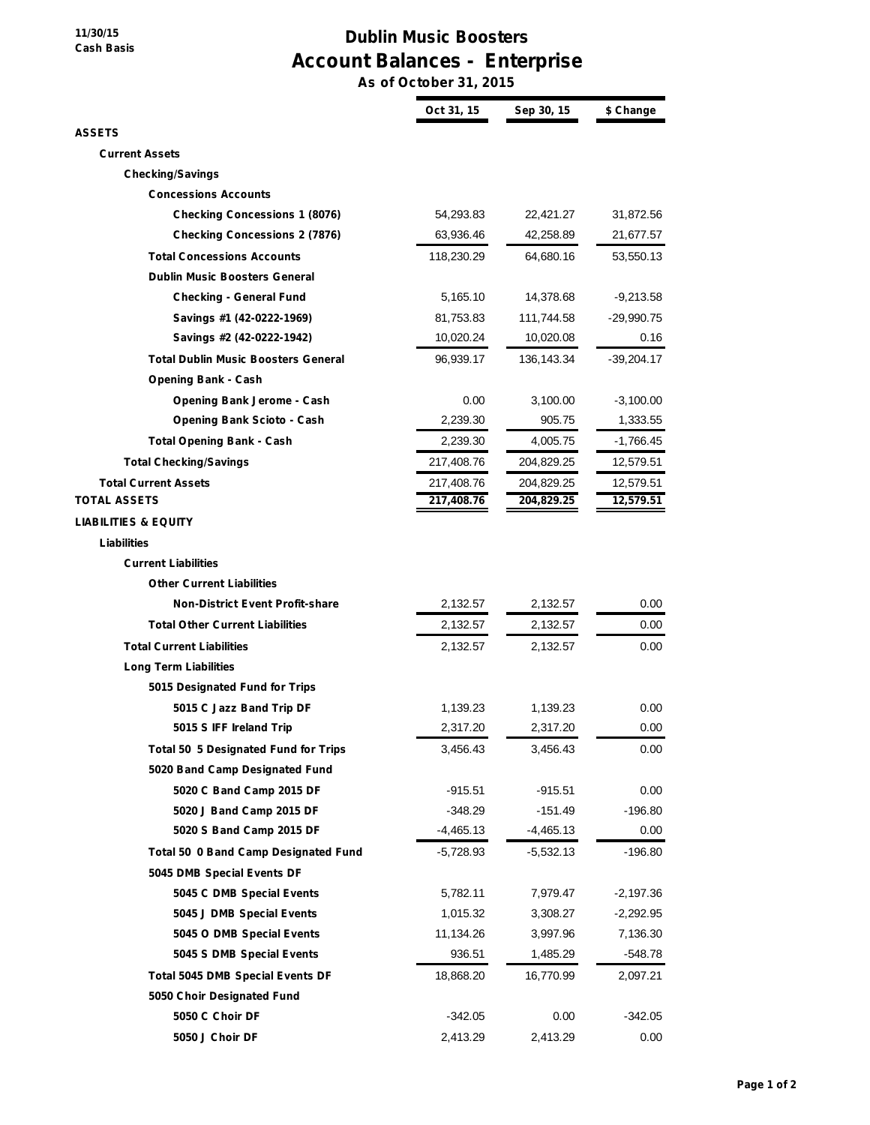**11/30/15 Cash Basis**

## **Dublin Music Boosters Account Balances - Enterprise**

**As of October 31, 2015**

|                                             | Oct 31, 15  | Sep 30, 15   | \$ Change    |
|---------------------------------------------|-------------|--------------|--------------|
| <b>ASSETS</b>                               |             |              |              |
| <b>Current Assets</b>                       |             |              |              |
| <b>Checking/Savings</b>                     |             |              |              |
| <b>Concessions Accounts</b>                 |             |              |              |
| <b>Checking Concessions 1 (8076)</b>        | 54,293.83   | 22,421.27    | 31,872.56    |
| <b>Checking Concessions 2 (7876)</b>        | 63,936.46   | 42,258.89    | 21,677.57    |
| <b>Total Concessions Accounts</b>           | 118,230.29  | 64,680.16    | 53,550.13    |
| <b>Dublin Music Boosters General</b>        |             |              |              |
| <b>Checking - General Fund</b>              | 5,165.10    | 14,378.68    | -9,213.58    |
| Savings #1 (42-0222-1969)                   | 81,753.83   | 111,744.58   | $-29,990.75$ |
| Savings #2 (42-0222-1942)                   | 10,020.24   | 10,020.08    | 0.16         |
| <b>Total Dublin Music Boosters General</b>  | 96,939.17   | 136, 143. 34 | -39,204.17   |
| <b>Opening Bank - Cash</b>                  |             |              |              |
| <b>Opening Bank Jerome - Cash</b>           | 0.00        | 3,100.00     | $-3,100.00$  |
| <b>Opening Bank Scioto - Cash</b>           | 2,239.30    | 905.75       | 1,333.55     |
| <b>Total Opening Bank - Cash</b>            | 2,239.30    | 4,005.75     | -1,766.45    |
| <b>Total Checking/Savings</b>               | 217,408.76  | 204,829.25   | 12,579.51    |
| <b>Total Current Assets</b>                 | 217,408.76  | 204,829.25   | 12,579.51    |
| <b>TOTAL ASSETS</b>                         | 217,408.76  | 204,829.25   | 12,579.51    |
| <b>LIABILITIES &amp; EQUITY</b>             |             |              |              |
| Liabilities                                 |             |              |              |
| <b>Current Liabilities</b>                  |             |              |              |
| <b>Other Current Liabilities</b>            |             |              |              |
| <b>Non-District Event Profit-share</b>      | 2,132.57    | 2,132.57     | 0.00         |
| <b>Total Other Current Liabilities</b>      | 2,132.57    | 2,132.57     | 0.00         |
| <b>Total Current Liabilities</b>            | 2,132.57    | 2,132.57     | 0.00         |
| <b>Long Term Liabilities</b>                |             |              |              |
| 5015 Designated Fund for Trips              |             |              |              |
| 5015 C Jazz Band Trip DF                    | 1,139.23    | 1,139.23     | 0.00         |
| 5015 S IFF Ireland Trip                     | 2,317.20    | 2,317.20     | 0.00         |
| <b>Total 50 5 Designated Fund for Trips</b> | 3,456.43    | 3,456.43     | 0.00         |
| 5020 Band Camp Designated Fund              |             |              |              |
| 5020 C Band Camp 2015 DF                    | -915.51     | $-915.51$    | 0.00         |
| 5020 J Band Camp 2015 DF                    | -348.29     | -151.49      | $-196.80$    |
| 5020 S Band Camp 2015 DF                    | $-4,465.13$ | $-4,465.13$  | 0.00         |
| <b>Total 50 0 Band Camp Designated Fund</b> | -5,728.93   | $-5,532.13$  | $-196.80$    |
| 5045 DMB Special Events DF                  |             |              |              |
| 5045 C DMB Special Events                   | 5,782.11    | 7,979.47     | $-2,197.36$  |
| 5045 J DMB Special Events                   | 1,015.32    | 3,308.27     | $-2,292.95$  |
| 5045 O DMB Special Events                   | 11,134.26   | 3,997.96     | 7,136.30     |
| 5045 S DMB Special Events                   | 936.51      | 1,485.29     | -548.78      |
| <b>Total 5045 DMB Special Events DF</b>     | 18,868.20   | 16,770.99    | 2,097.21     |
| 5050 Choir Designated Fund                  |             |              |              |
| 5050 C Choir DF                             | $-342.05$   | 0.00         | $-342.05$    |
| 5050 J Choir DF                             | 2,413.29    | 2,413.29     | 0.00         |